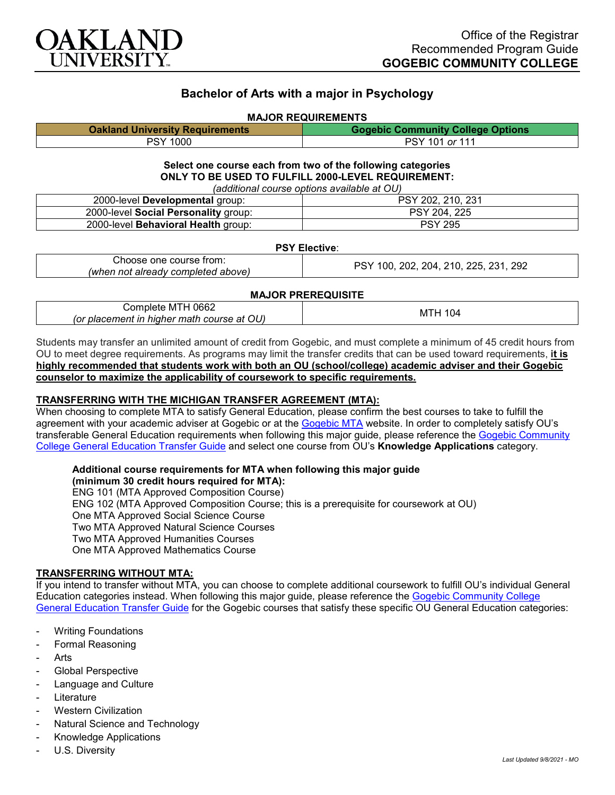

# **Bachelor of Arts with a major in Psychology**

#### **MAJOR REQUIREMENTS**

| <b>Oakland University Requirements</b> | <b>Gogebic Community College Options</b> |
|----------------------------------------|------------------------------------------|
| PSY 1000                               | PSY 101 or 111                           |

# **Select one course each from two of the following categories ONLY TO BE USED TO FULFILL 2000-LEVEL REQUIREMENT:**

| (additional course options available at OU) |                   |  |
|---------------------------------------------|-------------------|--|
| 2000-level Developmental group:             | PSY 202, 210, 231 |  |
| 2000-level Social Personality group:        | PSY 204, 225      |  |
| 2000-level Behavioral Health group:         | <b>PSY 295</b>    |  |

## **PSY Elective**:

| course<br>trom<br>one<br>∴noose                         | 292<br>つつに<br>DС<br>nn.<br>?በ4<br>210<br>ንበኃ<br>00<br>ں |
|---------------------------------------------------------|---------------------------------------------------------|
| `above.<br>'when<br>. already completed $^\circ$<br>not |                                                         |

### **MAJOR PREREQUISITE**

| 0662<br>∴omplete<br>. M I H<br>OU)<br>.or<br>math .<br>. hiaher<br>course<br>at<br>olacement :<br>Π | O4<br>M |
|-----------------------------------------------------------------------------------------------------|---------|
|-----------------------------------------------------------------------------------------------------|---------|

Students may transfer an unlimited amount of credit from Gogebic, and must complete a minimum of 45 credit hours from OU to meet degree requirements. As programs may limit the transfer credits that can be used toward requirements, **it is highly recommended that students work with both an OU (school/college) academic adviser and their Gogebic counselor to maximize the applicability of coursework to specific requirements.**

## **TRANSFERRING WITH THE MICHIGAN TRANSFER AGREEMENT (MTA):**

When choosing to complete MTA to satisfy General Education, please confirm the best courses to take to fulfill the agreement with your academic adviser at Gogebic or at the [Gogebic MTA](https://www.gogebic.edu/welcome/studentsupport/_assets/gogebic-courses-that-fulfill-the-mta-requirements.pdf) website. In order to completely satisfy OU's transferable General Education requirements when following this major guide, please reference the Gogebic Community [College General Education Transfer Guide](https://www.oakland.edu/Assets/Oakland/program-guides/gogebic-community-college/university-general-education-requirements/Gogebic%20Gen%20Ed.pdf) and select one course from OU's **Knowledge Applications** category.

### **Additional course requirements for MTA when following this major guide**

**(minimum 30 credit hours required for MTA):** ENG 101 (MTA Approved Composition Course) ENG 102 (MTA Approved Composition Course; this is a prerequisite for coursework at OU) One MTA Approved Social Science Course Two MTA Approved Natural Science Courses Two MTA Approved Humanities Courses One MTA Approved Mathematics Course

### **TRANSFERRING WITHOUT MTA:**

If you intend to transfer without MTA, you can choose to complete additional coursework to fulfill OU's individual General Education categories instead. When following this major guide, please reference the Gogebic Community College [General Education Transfer Guide](https://www.oakland.edu/Assets/Oakland/program-guides/gogebic-community-college/university-general-education-requirements/Gogebic%20Gen%20Ed.pdf) for the Gogebic courses that satisfy these specific OU General Education categories:

- **Writing Foundations**
- Formal Reasoning
- **Arts**
- Global Perspective
- Language and Culture
- **Literature**
- Western Civilization
- Natural Science and Technology
- Knowledge Applications
- U.S. Diversity